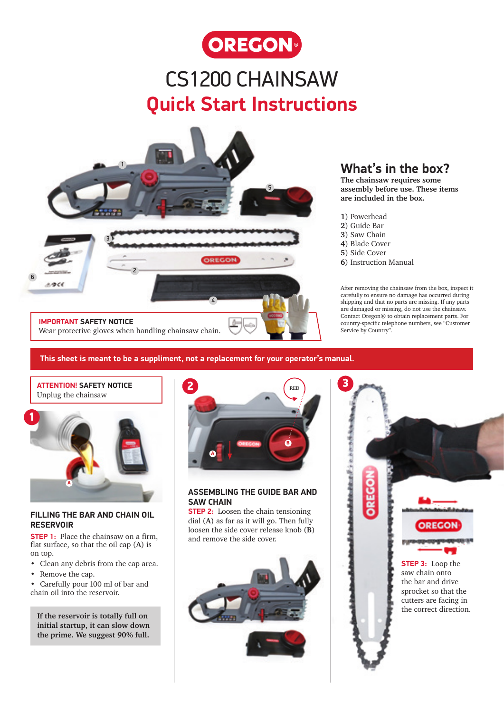

## CS1200 CHAINSAW **Quick Start Instructions**



### **What's in the box?**

**The chainsaw requires some assembly before use. These items are included in the box.**

- **1**) Powerhead
- **2**) Guide Bar
- **3**) Saw Chain
- **4**) Blade Cover
- **5**) Side Cover
- **6**) Instruction Manual

After removing the chainsaw from the box, inspect it carefully to ensure no damage has occurred during shipping and that no parts are missing. If any parts are damaged or missing, do not use the chainsaw. Contact Oregon® to obtain replacement parts. For country-specific telephone numbers, see "Customer Service by Country".

**This sheet is meant to be a suppliment, not a replacement for your operator's manual.** 

### **ATTENTION! SAFETY NOTICE** Unplug the chainsaw



#### **FILLING THE BAR AND CHAIN OIL RESERVOIR**

**STEP 1:** Place the chainsaw on a firm, flat surface, so that the oil cap (**A**) is on top.

- Clean any debris from the cap area.
- Remove the cap.
- Carefully pour 100 ml of bar and chain oil into the reservoir.

**If the reservoir is totally full on initial startup, it can slow down the prime. We suggest 90% full.**



#### **ASSEMBLING THE GUIDE BAR AND SAW CHAIN**

**STEP 2:** Loosen the chain tensioning dial (**A**) as far as it will go. Then fully loosen the side cover release knob (**B**) and remove the side cover.